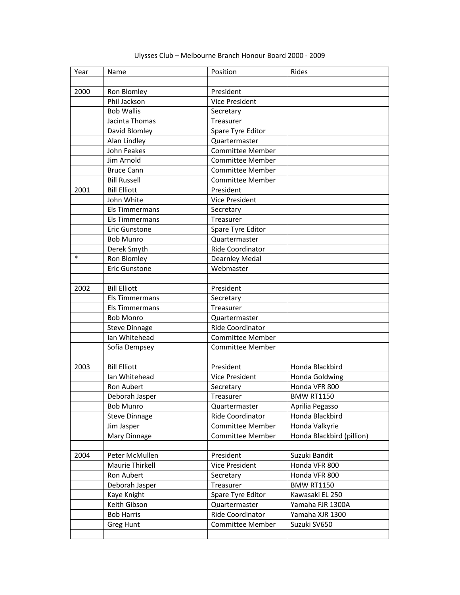| Year   | Name                 | Position                | Rides                     |
|--------|----------------------|-------------------------|---------------------------|
|        |                      |                         |                           |
| 2000   | Ron Blomley          | President               |                           |
|        | Phil Jackson         | <b>Vice President</b>   |                           |
|        | <b>Bob Wallis</b>    | Secretary               |                           |
|        | Jacinta Thomas       | Treasurer               |                           |
|        | David Blomley        | Spare Tyre Editor       |                           |
|        | Alan Lindley         | Quartermaster           |                           |
|        | John Feakes          | Committee Member        |                           |
|        | Jim Arnold           | <b>Committee Member</b> |                           |
|        | <b>Bruce Cann</b>    | <b>Committee Member</b> |                           |
|        | <b>Bill Russell</b>  | <b>Committee Member</b> |                           |
| 2001   | <b>Bill Elliott</b>  | President               |                           |
|        | John White           | <b>Vice President</b>   |                           |
|        | Els Timmermans       | Secretary               |                           |
|        | Els Timmermans       | Treasurer               |                           |
|        | <b>Eric Gunstone</b> | Spare Tyre Editor       |                           |
|        | <b>Bob Munro</b>     | Quartermaster           |                           |
|        | Derek Smyth          | Ride Coordinator        |                           |
| $\ast$ | Ron Blomley          | Dearnley Medal          |                           |
|        | <b>Eric Gunstone</b> | Webmaster               |                           |
| 2002   | <b>Bill Elliott</b>  | President               |                           |
|        | Els Timmermans       | Secretary               |                           |
|        | Els Timmermans       | Treasurer               |                           |
|        | <b>Bob Monro</b>     | Quartermaster           |                           |
|        | <b>Steve Dinnage</b> | Ride Coordinator        |                           |
|        | Ian Whitehead        | Committee Member        |                           |
|        | Sofia Dempsey        | <b>Committee Member</b> |                           |
| 2003   | <b>Bill Elliott</b>  | President               | Honda Blackbird           |
|        | Ian Whitehead        | Vice President          | <b>Honda Goldwing</b>     |
|        | Ron Aubert           | Secretary               | Honda VFR 800             |
|        | Deborah Jasper       | Treasurer               | <b>BMW RT1150</b>         |
|        | <b>Bob Munro</b>     | Quartermaster           | Aprilia Pegasso           |
|        | <b>Steve Dinnage</b> | Ride Coordinator        | Honda Blackbird           |
|        | Jim Jasper           | Committee Member        | Honda Valkyrie            |
|        | Mary Dinnage         | Committee Member        | Honda Blackbird (pillion) |
|        |                      |                         |                           |
| 2004   | Peter McMullen       | President               | Suzuki Bandit             |
|        | Maurie Thirkell      | Vice President          | Honda VFR 800             |
|        | Ron Aubert           | Secretary               | Honda VFR 800             |
|        | Deborah Jasper       | Treasurer               | <b>BMW RT1150</b>         |
|        | Kaye Knight          | Spare Tyre Editor       | Kawasaki EL 250           |
|        | Keith Gibson         | Quartermaster           | Yamaha FJR 1300A          |
|        | <b>Bob Harris</b>    | Ride Coordinator        | Yamaha XJR 1300           |
|        | Greg Hunt            | Committee Member        | Suzuki SV650              |
|        |                      |                         |                           |

Ulysses Club – Melbourne Branch Honour Board 2000 - 2009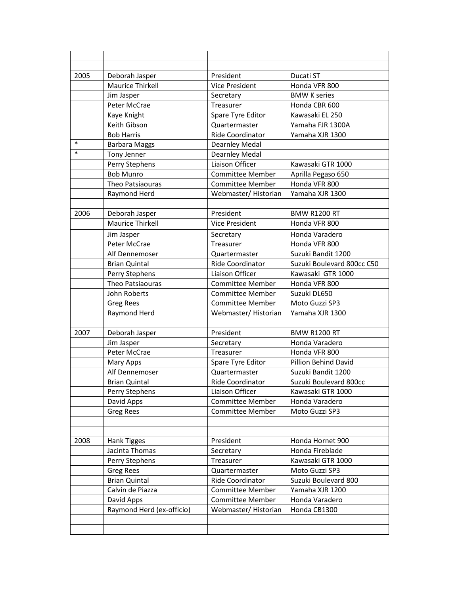| 2005   | Deborah Jasper            | President               | Ducati ST                  |
|--------|---------------------------|-------------------------|----------------------------|
|        | Maurice Thirkell          | Vice President          | Honda VFR 800              |
|        | Jim Jasper                | Secretary               | <b>BMW K series</b>        |
|        | Peter McCrae              | Treasurer               | Honda CBR 600              |
|        | Kaye Knight               | Spare Tyre Editor       | Kawasaki EL 250            |
|        | Keith Gibson              | Quartermaster           | Yamaha FJR 1300A           |
|        | <b>Bob Harris</b>         | Ride Coordinator        | Yamaha XJR 1300            |
| $\ast$ | <b>Barbara Maggs</b>      | Dearnley Medal          |                            |
| $\ast$ | Tony Jenner               | <b>Dearnley Medal</b>   |                            |
|        | Perry Stephens            | Liaison Officer         | Kawasaki GTR 1000          |
|        | <b>Bob Munro</b>          | <b>Committee Member</b> | Aprilla Pegaso 650         |
|        | Theo Patsiaouras          | <b>Committee Member</b> | Honda VFR 800              |
|        | Raymond Herd              | Webmaster/Historian     | Yamaha XJR 1300            |
|        |                           |                         |                            |
| 2006   | Deborah Jasper            | President               | <b>BMW R1200 RT</b>        |
|        | Maurice Thirkell          | <b>Vice President</b>   | Honda VFR 800              |
|        | Jim Jasper                | Secretary               | Honda Varadero             |
|        | Peter McCrae              | Treasurer               | Honda VFR 800              |
|        | Alf Dennemoser            | Quartermaster           | Suzuki Bandit 1200         |
|        | <b>Brian Quintal</b>      | Ride Coordinator        | Suzuki Boulevard 800cc C50 |
|        | Perry Stephens            | Liaison Officer         | Kawasaki GTR 1000          |
|        | Theo Patsiaouras          | <b>Committee Member</b> | Honda VFR 800              |
|        | John Roberts              | <b>Committee Member</b> | Suzuki DL650               |
|        | <b>Greg Rees</b>          | Committee Member        | Moto Guzzi SP3             |
|        | Raymond Herd              | Webmaster/Historian     | Yamaha XJR 1300            |
|        |                           |                         |                            |
| 2007   | Deborah Jasper            | President               | <b>BMW R1200 RT</b>        |
|        | Jim Jasper                | Secretary               | Honda Varadero             |
|        | Peter McCrae              | Treasurer               | Honda VFR 800              |
|        | Mary Apps                 | Spare Tyre Editor       | Pillion Behind David       |
|        | Alf Dennemoser            | Quartermaster           | Suzuki Bandit 1200         |
|        | <b>Brian Quintal</b>      | Ride Coordinator        | Suzuki Boulevard 800cc     |
|        | Perry Stephens            | Liaison Officer         | Kawasaki GTR 1000          |
|        | David Apps                | <b>Committee Member</b> | Honda Varadero             |
|        | <b>Greg Rees</b>          | <b>Committee Member</b> | Moto Guzzi SP3             |
|        |                           |                         |                            |
|        |                           |                         |                            |
| 2008   | Hank Tigges               | President               | Honda Hornet 900           |
|        | Jacinta Thomas            | Secretary               | Honda Fireblade            |
|        | Perry Stephens            | Treasurer               | Kawasaki GTR 1000          |
|        | <b>Greg Rees</b>          | Quartermaster           | Moto Guzzi SP3             |
|        | <b>Brian Quintal</b>      | Ride Coordinator        | Suzuki Boulevard 800       |
|        | Calvin de Piazza          | <b>Committee Member</b> | Yamaha XJR 1200            |
|        | David Apps                | <b>Committee Member</b> | Honda Varadero             |
|        | Raymond Herd (ex-officio) | Webmaster/Historian     | Honda CB1300               |
|        |                           |                         |                            |
|        |                           |                         |                            |